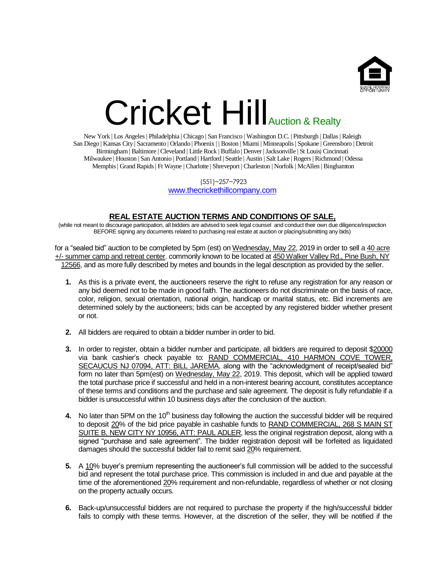

## Cricket Hill Auction & Realty

New York | Los Angeles | Philadelphia | Chicago | San Francisco | Washington D.C. | Pittsburgh | Dallas | Raleigh San Diego | Kansas City | Sacramento | Orlando | Phoenix | | Boston | Miami | Minneapolis | Spokane | Greensboro | Detroit Birmingham | Baltimore | Cleveland | Little Rock | Buffalo | Denver | Jacksonville | St Louis| Cincinnati Milwaukee | Houston | San Antonio | Portland | Hartford | Seattle | Austin | Salt Lake | Rogers | Richmond | Odessa Memphis | Grand Rapids | Ft Wayne | Charlotte | Shreveport | Charleston | Norfolk | McAllen | Binghamton

> (551)~257~7923 [www.thecrickethillcompany.com](http://www.thecrickethillcompany.com/)

## **REAL ESTATE AUCTION TERMS AND CONDITIONS OF SALE,**

(while not meant to discourage participation, all bidders are advised to seek legal counsel and conduct their own due diligence/inspection BEFORE signing any documents related to purchasing real estate at auction or placing/submitting any bids)

for a "sealed bid" auction to be completed by 5pm (est) on Wednesday, May 22, 2019 in order to sell a 40 acre +/- summer camp and retreat center. commonly known to be located at 450 Walker Valley Rd., Pine Bush, NY 12566, and as more fully described by metes and bounds in the legal description as provided by the seller.

- **1.** As this is a private event, the auctioneers reserve the right to refuse any registration for any reason or any bid deemed not to be made in good faith. The auctioneers do not discriminate on the basis of race, color, religion, sexual orientation, national origin, handicap or marital status, etc. Bid increments are determined solely by the auctioneers; bids can be accepted by any registered bidder whether present or not.
- **2.** All bidders are required to obtain a bidder number in order to bid.
- **3.** In order to register, obtain a bidder number and participate, all bidders are required to deposit \$20000 via bank cashier's check payable to: RAND COMMERCIAL, 410 HARMON COVE TOWER, SECAUCUS NJ 07094, ATT: BILL JAREMA, along with the "acknowledgment of receipt/sealed bid" form no later than 5pm(est) on Wednesday, May 22, 2019. This deposit, which will be applied toward the total purchase price if successful and held in a non-interest bearing account, constitutes acceptance of these terms and conditions and the purchase and sale agreement. The deposit is fully refundable if a bidder is unsuccessful within 10 business days after the conclusion of the auction.
- **4.** No later than 5PM on the 10<sup>th</sup> business day following the auction the successful bidder will be required to deposit 20% of the bid price payable in cashable funds to RAND COMMERCIAL, 268 S MAIN ST SUITE B, NEW CITY NY 10956, ATT: PAUL ADLER, less the original registration deposit, along with a signed "purchase and sale agreement". The bidder registration deposit will be forfeited as liquidated damages should the successful bidder fail to remit said 20% requirement.
- **5.** A 10% buyer's premium representing the auctioneer's full commission will be added to the successful bid and represent the total purchase price. This commission is included in and due and payable at the time of the aforementioned 20% requirement and non-refundable, regardless of whether or not closing on the property actually occurs.
- **6.** Back-up/unsuccessful bidders are not required to purchase the property if the high/successful bidder fails to comply with these terms. However, at the discretion of the seller, they will be notified if the